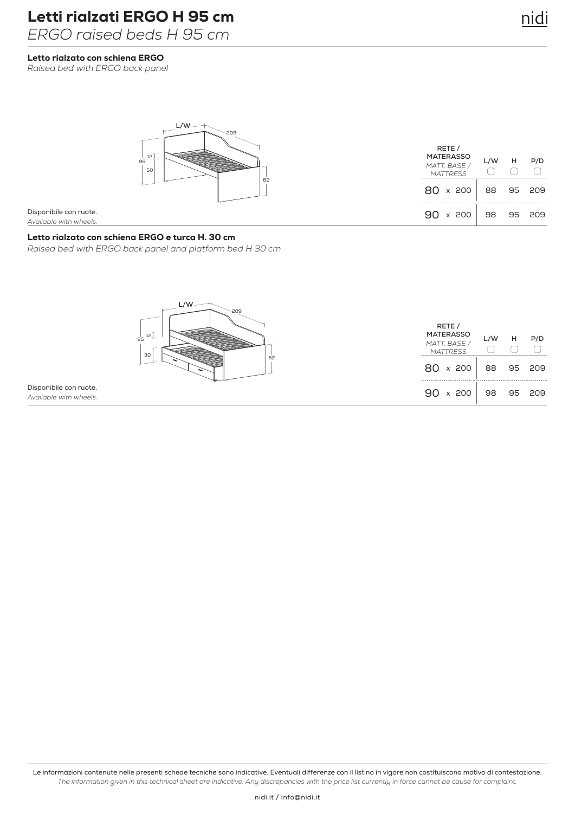Letto rialzato con schiena ERGO

*Raised bed with ERGO back panel*



Disponibile con ruote. *Available with wheels.*

## Letto rialzato con schiena ERGO e turca H. 30 cm

*Raised bed with ERGO back panel and platform bed H 30 cm*



Disponibile con ruote. *Available with wheels.*

Le informazioni contenute nelle presenti schede tecniche sono indicative. Eventuali differenze con il listino in vigore non costituiscono motivo di contestazione. *The information given in this technical sheet are indicative. Any discrepancies with the price list currently in force cannot be cause for complaint.*